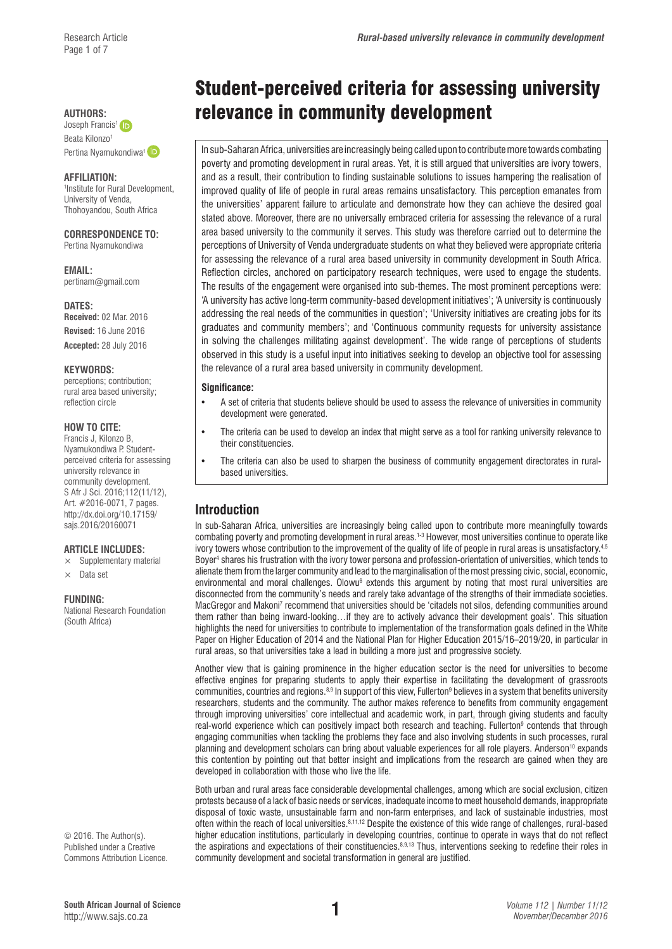Beata Kilonzo<sup>1</sup> Pertina Nyamukondiwa<sup>1</sup>

**AFFILIATION:** 

1 Institute for Rural Development, University of Venda, Thohoyandou, South Africa

**CORRESPONDENCE TO:**  Pertina Nyamukondiwa

**EMAIL:**  [pertinam@gmail.com](mailto:pertinam@gmail.com)

**DATES: Received:** 02 Mar. 2016 **Revised:** 16 June 2016 **Accepted:** 28 July 2016

**KEYWORDS:**  perceptions; contribution; rural area based university; reflection circle

#### **HOW TO CITE:**

Francis J, Kilonzo B, Nyamukondiwa P. Studentperceived criteria for assessing university relevance in community development. S Afr J Sci. 2016;112(11/12), Art. #2016-0071, 7 pages. [http://dx.doi.org/10.17159/](http://dx.doi.org/10.17159/sajs.2016/20160071) [sajs.2016/20160071](http://dx.doi.org/10.17159/sajs.2016/20160071)

#### **ARTICLE INCLUDES:**

 $\times$  Supplementary material

 $\times$  Data set

#### **FUNDING:**

National Research Foundation (South Africa)

© 2016. The Author(s). Published under a Creative Commons Attribution Licence.

# Student-perceived criteria for assessing university AUTHORS:<br>Joseph Francis<sup>1</sup> **D**<br>*Doseph Francis***<sup>1</sup> D</sub>**

In sub-Saharan Africa, universities are increasingly being called upon to contribute more towards combating poverty and promoting development in rural areas. Yet, it is still argued that universities are ivory towers, and as a result, their contribution to finding sustainable solutions to issues hampering the realisation of improved quality of life of people in rural areas remains unsatisfactory. This perception emanates from the universities' apparent failure to articulate and demonstrate how they can achieve the desired goal stated above. Moreover, there are no universally embraced criteria for assessing the relevance of a rural area based university to the community it serves. This study was therefore carried out to determine the perceptions of University of Venda undergraduate students on what they believed were appropriate criteria for assessing the relevance of a rural area based university in community development in South Africa. Reflection circles, anchored on participatory research techniques, were used to engage the students. The results of the engagement were organised into sub-themes. The most prominent perceptions were: 'A university has active long-term community-based development initiatives'; 'A university is continuously addressing the real needs of the communities in question'; 'University initiatives are creating jobs for its graduates and community members'; and 'Continuous community requests for university assistance in solving the challenges militating against development'. The wide range of perceptions of students observed in this study is a useful input into initiatives seeking to develop an objective tool for assessing the relevance of a rural area based university in community development.

#### **Significance:**

- A set of criteria that students believe should be used to assess the relevance of universities in community development were generated.
- The criteria can be used to develop an index that might serve as a tool for ranking university relevance to their constituencies.
- The criteria can also be used to sharpen the business of community engagement directorates in ruralbased universities.

### **Introduction**

In sub-Saharan Africa, universities are increasingly being called upon to contribute more meaningfully towards combating poverty and promoting development in rural areas.<sup>1-3</sup> However, most universities continue to operate like ivory towers whose contribution to the improvement of the quality of life of people in rural areas is unsatisfactory.4,5 Boyer4 shares his frustration with the ivory tower persona and profession-orientation of universities, which tends to alienate them from the larger community and lead to the marginalisation of the most pressing civic, social, economic, environmental and moral challenges. Olowu<sup>6</sup> extends this argument by noting that most rural universities are disconnected from the community's needs and rarely take advantage of the strengths of their immediate societies. MacGregor and Makoni<sup>7</sup> recommend that universities should be 'citadels not silos, defending communities around them rather than being inward-looking…if they are to actively advance their development goals'. This situation highlights the need for universities to contribute to implementation of the transformation goals defined in the White Paper on Higher Education of 2014 and the National Plan for Higher Education 2015/16–2019/20, in particular in rural areas, so that universities take a lead in building a more just and progressive society.

Another view that is gaining prominence in the higher education sector is the need for universities to become effective engines for preparing students to apply their expertise in facilitating the development of grassroots communities, countries and regions.<sup>8,9</sup> In support of this view, Fullerton<sup>9</sup> believes in a system that benefits university researchers, students and the community. The author makes reference to benefits from community engagement through improving universities' core intellectual and academic work, in part, through giving students and faculty real-world experience which can positively impact both research and teaching. Fullerton<sup>9</sup> contends that through engaging communities when tackling the problems they face and also involving students in such processes, rural planning and development scholars can bring about valuable experiences for all role players. Anderson<sup>10</sup> expands this contention by pointing out that better insight and implications from the research are gained when they are developed in collaboration with those who live the life.

Both urban and rural areas face considerable developmental challenges, among which are social exclusion, citizen protests because of a lack of basic needs or services, inadequate income to meet household demands, inappropriate disposal of toxic waste, unsustainable farm and non-farm enterprises, and lack of sustainable industries, most often within the reach of local universities.8,11,12 Despite the existence of this wide range of challenges, rural-based higher education institutions, particularly in developing countries, continue to operate in ways that do not reflect the aspirations and expectations of their constituencies.<sup>8,9,13</sup> Thus, interventions seeking to redefine their roles in community development and societal transformation in general are justified.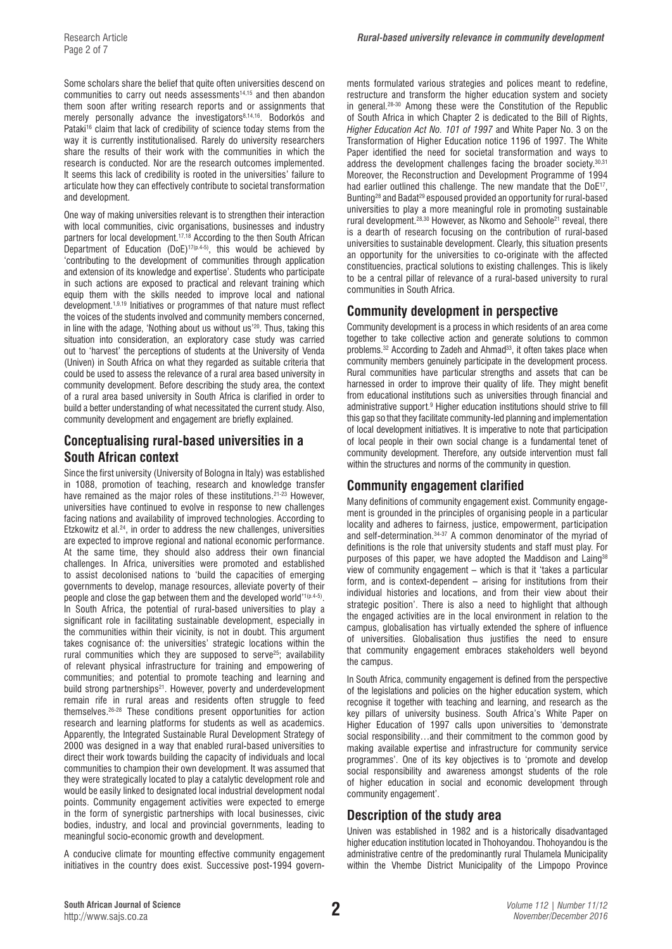Some scholars share the belief that quite often universities descend on communities to carry out needs assessments14,15 and then abandon them soon after writing research reports and or assignments that merely personally advance the investigators<sup>8,14,16</sup>. Bodorkós and Pataki<sup>16</sup> claim that lack of credibility of science today stems from the way it is currently institutionalised. Rarely do university researchers share the results of their work with the communities in which the research is conducted. Nor are the research outcomes implemented. It seems this lack of credibility is rooted in the universities' failure to articulate how they can effectively contribute to societal transformation and development.

One way of making universities relevant is to strengthen their interaction with local communities, civic organisations, businesses and industry partners for local development.17,18 According to the then South African Department of Education (DoE)<sup>17(p.4-5)</sup>, this would be achieved by 'contributing to the development of communities through application and extension of its knowledge and expertise'. Students who participate in such actions are exposed to practical and relevant training which equip them with the skills needed to improve local and national development.1,9,19 Initiatives or programmes of that nature must reflect the voices of the students involved and community members concerned, in line with the adage, 'Nothing about us without us'20. Thus, taking this situation into consideration, an exploratory case study was carried out to 'harvest' the perceptions of students at the University of Venda (Univen) in South Africa on what they regarded as suitable criteria that could be used to assess the relevance of a rural area based university in community development. Before describing the study area, the context of a rural area based university in South Africa is clarified in order to build a better understanding of what necessitated the current study. Also, community development and engagement are briefly explained.

## **Conceptualising rural-based universities in a South African context**

Since the first university (University of Bologna in Italy) was established in 1088, promotion of teaching, research and knowledge transfer have remained as the major roles of these institutions.<sup>21-23</sup> However, universities have continued to evolve in response to new challenges facing nations and availability of improved technologies. According to Etzkowitz et al.24, in order to address the new challenges, universities are expected to improve regional and national economic performance. At the same time, they should also address their own financial challenges. In Africa, universities were promoted and established to assist decolonised nations to 'build the capacities of emerging governments to develop, manage resources, alleviate poverty of their people and close the gap between them and the developed world' $1(p.4-5)$ . In South Africa, the potential of rural-based universities to play a significant role in facilitating sustainable development, especially in the communities within their vicinity, is not in doubt. This argument takes cognisance of: the universities' strategic locations within the rural communities which they are supposed to serve<sup>25</sup>; availability of relevant physical infrastructure for training and empowering of communities; and potential to promote teaching and learning and build strong partnerships<sup>21</sup>. However, poverty and underdevelopment remain rife in rural areas and residents often struggle to feed themselves.26-28 These conditions present opportunities for action research and learning platforms for students as well as academics. Apparently, the Integrated Sustainable Rural Development Strategy of 2000 was designed in a way that enabled rural-based universities to direct their work towards building the capacity of individuals and local communities to champion their own development. It was assumed that they were strategically located to play a catalytic development role and would be easily linked to designated local industrial development nodal points. Community engagement activities were expected to emerge in the form of synergistic partnerships with local businesses, civic bodies, industry, and local and provincial governments, leading to meaningful socio-economic growth and development.

A conducive climate for mounting effective community engagement initiatives in the country does exist. Successive post-1994 governments formulated various strategies and polices meant to redefine, restructure and transform the higher education system and society in general.28-30 Among these were the Constitution of the Republic of South Africa in which Chapter 2 is dedicated to the Bill of Rights, *Higher Education Act No. 101 of 1997* and White Paper No. 3 on the Transformation of Higher Education notice 1196 of 1997. The White Paper identified the need for societal transformation and ways to address the development challenges facing the broader society.<sup>30,31</sup> Moreover, the Reconstruction and Development Programme of 1994 had earlier outlined this challenge. The new mandate that the DoE<sup>17</sup>, Bunting<sup>28</sup> and Badat<sup>29</sup> espoused provided an opportunity for rural-based universities to play a more meaningful role in promoting sustainable rural development.<sup>28,30</sup> However, as Nkomo and Sehoole<sup>21</sup> reveal, there is a dearth of research focusing on the contribution of rural-based universities to sustainable development. Clearly, this situation presents an opportunity for the universities to co-originate with the affected constituencies, practical solutions to existing challenges. This is likely to be a central pillar of relevance of a rural-based university to rural communities in South Africa.

### **Community development in perspective**

Community development is a process in which residents of an area come together to take collective action and generate solutions to common problems.<sup>32</sup> According to Zadeh and Ahmad<sup>33</sup>, it often takes place when community members genuinely participate in the development process. Rural communities have particular strengths and assets that can be harnessed in order to improve their quality of life. They might benefit from educational institutions such as universities through financial and administrative support.<sup>9</sup> Higher education institutions should strive to fill this gap so that they facilitate community-led planning and implementation of local development initiatives. It is imperative to note that participation of local people in their own social change is a fundamental tenet of community development. Therefore, any outside intervention must fall within the structures and norms of the community in question.

### **Community engagement clarified**

Many definitions of community engagement exist. Community engagement is grounded in the principles of organising people in a particular locality and adheres to fairness, justice, empowerment, participation and self-determination.34-37 A common denominator of the myriad of definitions is the role that university students and staff must play. For purposes of this paper, we have adopted the Maddison and Laing<sup>38</sup> view of community engagement – which is that it 'takes a particular form, and is context-dependent – arising for institutions from their individual histories and locations, and from their view about their strategic position'. There is also a need to highlight that although the engaged activities are in the local environment in relation to the campus, globalisation has virtually extended the sphere of influence of universities. Globalisation thus justifies the need to ensure that community engagement embraces stakeholders well beyond the campus.

In South Africa, community engagement is defined from the perspective of the legislations and policies on the higher education system, which recognise it together with teaching and learning, and research as the key pillars of university business. South Africa's White Paper on Higher Education of 1997 calls upon universities to 'demonstrate social responsibility...and their commitment to the common good by making available expertise and infrastructure for community service programmes'. One of its key objectives is to 'promote and develop social responsibility and awareness amongst students of the role of higher education in social and economic development through community engagement'.

### **Description of the study area**

Univen was established in 1982 and is a historically disadvantaged higher education institution located in Thohoyandou. Thohoyandou is the administrative centre of the predominantly rural Thulamela Municipality within the Vhembe District Municipality of the Limpopo Province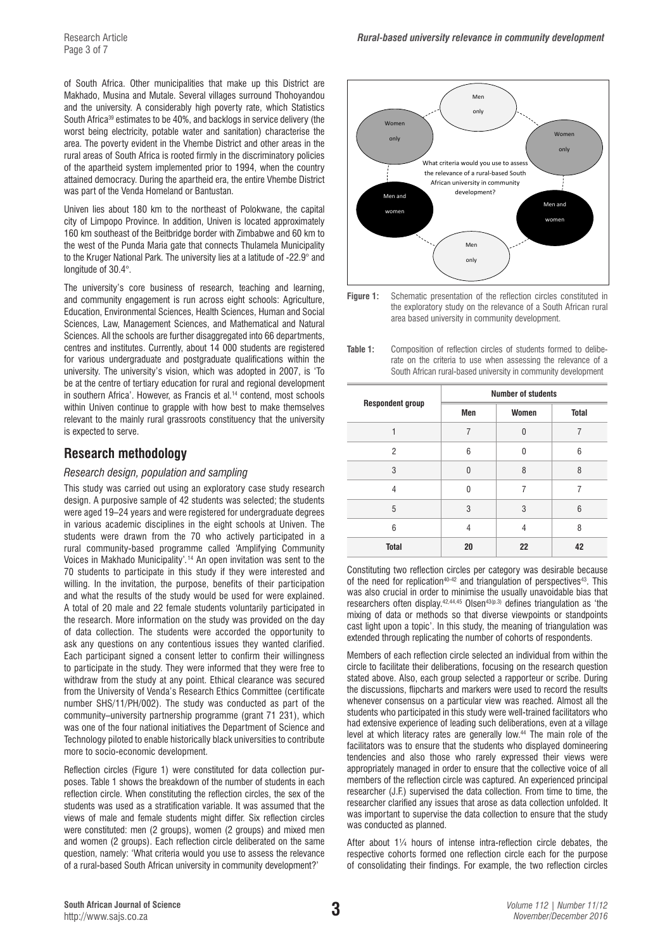of South Africa. Other municipalities that make up this District are Makhado, Musina and Mutale. Several villages surround Thohoyandou and the university. A considerably high poverty rate, which Statistics South Africa39 estimates to be 40%, and backlogs in service delivery (the worst being electricity, potable water and sanitation) characterise the area. The poverty evident in the Vhembe District and other areas in the rural areas of South Africa is rooted firmly in the discriminatory policies of the apartheid system implemented prior to 1994, when the country attained democracy. During the apartheid era, the entire Vhembe District was part of the Venda Homeland or Bantustan.

Univen lies about 180 km to the northeast of Polokwane, the capital city of Limpopo Province. In addition, Univen is located approximately 160 km southeast of the Beitbridge border with Zimbabwe and 60 km to the west of the Punda Maria gate that connects Thulamela Municipality to the Kruger National Park. The university lies at a latitude of -22.9° and longitude of 30.4°.

The university's core business of research, teaching and learning, and community engagement is run across eight schools: Agriculture, Education, Environmental Sciences, Health Sciences, Human and Social Sciences, Law, Management Sciences, and Mathematical and Natural Sciences. All the schools are further disaggregated into 66 departments, centres and institutes. Currently, about 14 000 students are registered for various undergraduate and postgraduate qualifications within the university. The university's vision, which was adopted in 2007, is 'To be at the centre of tertiary education for rural and regional development in southern Africa'. However, as Francis et al.<sup>14</sup> contend, most schools within Univen continue to grapple with how best to make themselves relevant to the mainly rural grassroots constituency that the university is expected to serve.

### **Research methodology**

#### *Research design, population and sampling*

This study was carried out using an exploratory case study research design. A purposive sample of 42 students was selected; the students were aged 19–24 years and were registered for undergraduate degrees in various academic disciplines in the eight schools at Univen. The students were drawn from the 70 who actively participated in a rural community-based programme called 'Amplifying Community Voices in Makhado Municipality'*.* 14 An open invitation was sent to the 70 students to participate in this study if they were interested and willing. In the invitation, the purpose, benefits of their participation and what the results of the study would be used for were explained. A total of 20 male and 22 female students voluntarily participated in the research. More information on the study was provided on the day of data collection. The students were accorded the opportunity to ask any questions on any contentious issues they wanted clarified. Each participant signed a consent letter to confirm their willingness to participate in the study. They were informed that they were free to withdraw from the study at any point. Ethical clearance was secured from the University of Venda's Research Ethics Committee (certificate number SHS/11/PH/002). The study was conducted as part of the community–university partnership programme (grant 71 231), which was one of the four national initiatives the Department of Science and Technology piloted to enable historically black universities to contribute more to socio-economic development.

Reflection circles (Figure 1) were constituted for data collection purposes. Table 1 shows the breakdown of the number of students in each reflection circle. When constituting the reflection circles, the sex of the students was used as a stratification variable. It was assumed that the views of male and female students might differ. Six reflection circles were constituted: men (2 groups), women (2 groups) and mixed men and women (2 groups). Each reflection circle deliberated on the same question, namely: 'What criteria would you use to assess the relevance of a rural-based South African university in community development?'



- **Figure 1:** Schematic presentation of the reflection circles constituted in the exploratory study on the relevance of a South African rural area based university in community development.
- **Table 1:** Composition of reflection circles of students formed to deliberate on the criteria to use when assessing the relevance of a South African rural-based university in community development

| <b>Respondent group</b> | <b>Number of students</b> |              |              |  |
|-------------------------|---------------------------|--------------|--------------|--|
|                         | Men                       | Women        | <b>Total</b> |  |
|                         | 7                         | $\mathbf{0}$ | 7            |  |
| $\overline{2}$          | 6                         | $\Omega$     | 6            |  |
| 3                       | $\Omega$                  | 8            | 8            |  |
| 4                       | 0                         | 7            | 7            |  |
| 5                       | 3                         | 3            | 6            |  |
| 6                       | 4                         | 4            | 8            |  |
| <b>Total</b>            | 20                        | 22           | 42           |  |

Constituting two reflection circles per category was desirable because of the need for replication<sup>40-42</sup> and triangulation of perspectives<sup>43</sup>. This was also crucial in order to minimise the usually unavoidable bias that researchers often display.42,44,45 Olsen43(p.3) defines triangulation as 'the mixing of data or methods so that diverse viewpoints or standpoints cast light upon a topic'. In this study, the meaning of triangulation was extended through replicating the number of cohorts of respondents.

Members of each reflection circle selected an individual from within the circle to facilitate their deliberations, focusing on the research question stated above. Also, each group selected a rapporteur or scribe. During the discussions, flipcharts and markers were used to record the results whenever consensus on a particular view was reached. Almost all the students who participated in this study were well-trained facilitators who had extensive experience of leading such deliberations, even at a village level at which literacy rates are generally low.44 The main role of the facilitators was to ensure that the students who displayed domineering tendencies and also those who rarely expressed their views were appropriately managed in order to ensure that the collective voice of all members of the reflection circle was captured. An experienced principal researcher (J.F.) supervised the data collection. From time to time, the researcher clarified any issues that arose as data collection unfolded. It was important to supervise the data collection to ensure that the study was conducted as planned.

After about 1¼ hours of intense intra-reflection circle debates, the respective cohorts formed one reflection circle each for the purpose of consolidating their findings. For example, the two reflection circles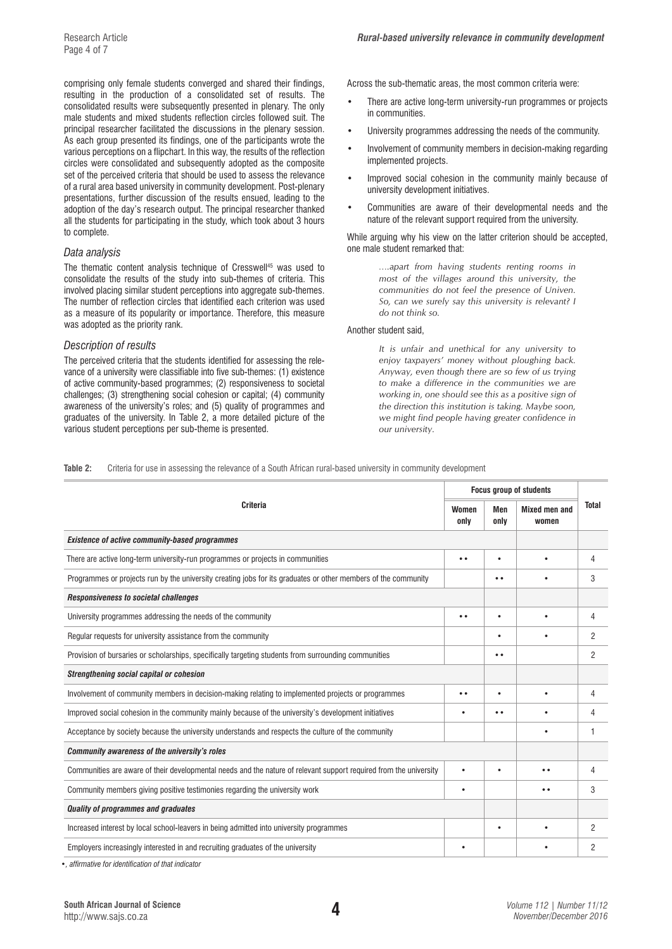comprising only female students converged and shared their findings, resulting in the production of a consolidated set of results. The consolidated results were subsequently presented in plenary. The only male students and mixed students reflection circles followed suit. The principal researcher facilitated the discussions in the plenary session. As each group presented its findings, one of the participants wrote the various perceptions on a flipchart. In this way, the results of the reflection circles were consolidated and subsequently adopted as the composite set of the perceived criteria that should be used to assess the relevance of a rural area based university in community development. Post-plenary presentations, further discussion of the results ensued, leading to the adoption of the day's research output. The principal researcher thanked all the students for participating in the study, which took about 3 hours to complete.

#### *Data analysis*

The thematic content analysis technique of Cresswell<sup>45</sup> was used to consolidate the results of the study into sub-themes of criteria. This involved placing similar student perceptions into aggregate sub-themes. The number of reflection circles that identified each criterion was used as a measure of its popularity or importance. Therefore, this measure was adopted as the priority rank.

#### *Description of results*

The perceived criteria that the students identified for assessing the relevance of a university were classifiable into five sub-themes: (1) existence of active community-based programmes; (2) responsiveness to societal challenges; (3) strengthening social cohesion or capital; (4) community awareness of the university's roles; and (5) quality of programmes and graduates of the university. In Table 2, a more detailed picture of the various student perceptions per sub-theme is presented.

Across the sub-thematic areas, the most common criteria were:

- There are active long-term university-run programmes or projects in communities.
- University programmes addressing the needs of the community.
- Involvement of community members in decision-making regarding implemented projects.
- Improved social cohesion in the community mainly because of university development initiatives.
- Communities are aware of their developmental needs and the nature of the relevant support required from the university.

While arguing why his view on the latter criterion should be accepted, one male student remarked that:

> *….apart from having students renting rooms in most of the villages around this university, the communities do not feel the presence of Univen. So, can we surely say this university is relevant? I do not think so.*

#### Another student said,

*It is unfair and unethical for any university to enjoy taxpayers' money without ploughing back. Anyway, even though there are so few of us trying to make a difference in the communities we are working in, one should see this as a positive sign of the direction this institution is taking. Maybe soon, we might find people having greater confidence in our university.*

**Table 2:** Criteria for use in assessing the relevance of a South African rural-based university in community development

| Criteria                                                                                                           |           | <b>Focus group of students</b> |                               |                |
|--------------------------------------------------------------------------------------------------------------------|-----------|--------------------------------|-------------------------------|----------------|
|                                                                                                                    |           | <b>Men</b><br>only             | <b>Mixed men and</b><br>women | <b>Total</b>   |
| <b>Existence of active community-based programmes</b>                                                              |           |                                |                               |                |
| There are active long-term university-run programmes or projects in communities                                    | $\bullet$ |                                |                               | 4              |
| Programmes or projects run by the university creating jobs for its graduates or other members of the community     |           | $\bullet$                      |                               | 3              |
| <b>Responsiveness to societal challenges</b>                                                                       |           |                                |                               |                |
| University programmes addressing the needs of the community                                                        |           | ٠                              | ٠                             | $\overline{4}$ |
| Regular requests for university assistance from the community                                                      |           | ٠                              | ٠                             | $\overline{2}$ |
| Provision of bursaries or scholarships, specifically targeting students from surrounding communities               |           | $\bullet\bullet$               |                               | 2              |
| <b>Strengthening social capital or cohesion</b>                                                                    |           |                                |                               |                |
| Involvement of community members in decision-making relating to implemented projects or programmes                 |           |                                |                               | 4              |
| Improved social cohesion in the community mainly because of the university's development initiatives               |           | $\bullet$                      | ٠                             | $\overline{4}$ |
| Acceptance by society because the university understands and respects the culture of the community                 |           |                                | ٠                             | 1              |
| Community awareness of the university's roles                                                                      |           |                                |                               |                |
| Communities are aware of their developmental needs and the nature of relevant support required from the university | ٠         |                                | $^{\circ}$                    | 4              |
| Community members giving positive testimonies regarding the university work                                        | ٠         |                                | $\bullet$                     | 3              |
| <b>Quality of programmes and graduates</b>                                                                         |           |                                |                               |                |
| Increased interest by local school-leavers in being admitted into university programmes                            |           | ٠                              | ٠                             | 2              |
| Employers increasingly interested in and recruiting graduates of the university                                    | ٠         |                                |                               | $\overline{2}$ |

*•, affirmative for identification of that indicator*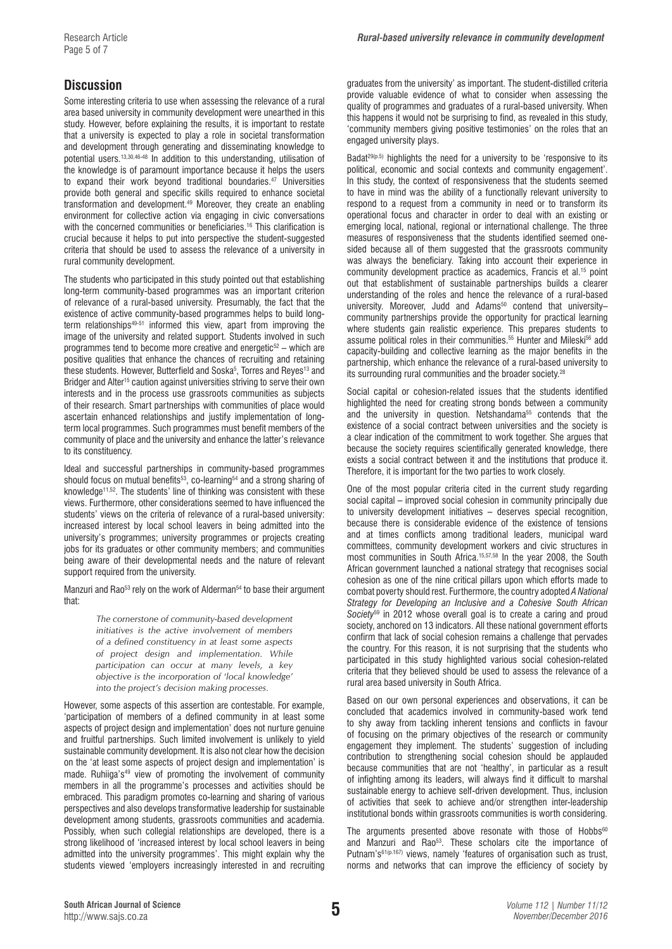### **Discussion**

Some interesting criteria to use when assessing the relevance of a rural area based university in community development were unearthed in this study. However, before explaining the results, it is important to restate that a university is expected to play a role in societal transformation and development through generating and disseminating knowledge to potential users.13,30,46-48 In addition to this understanding, utilisation of the knowledge is of paramount importance because it helps the users to expand their work beyond traditional boundaries.<sup>47</sup> Universities provide both general and specific skills required to enhance societal transformation and development.49 Moreover, they create an enabling environment for collective action via engaging in civic conversations with the concerned communities or beneficiaries.<sup>16</sup> This clarification is crucial because it helps to put into perspective the student-suggested criteria that should be used to assess the relevance of a university in rural community development.

The students who participated in this study pointed out that establishing long-term community-based programmes was an important criterion of relevance of a rural-based university. Presumably, the fact that the existence of active community-based programmes helps to build longterm relationships<sup>49-51</sup> informed this view, apart from improving the image of the university and related support. Students involved in such programmes tend to become more creative and energetic<sup>52</sup> – which are positive qualities that enhance the chances of recruiting and retaining these students. However, Butterfield and Soska $^5$ , Torres and Reyes13 and Bridger and Alter<sup>15</sup> caution against universities striving to serve their own interests and in the process use grassroots communities as subjects of their research. Smart partnerships with communities of place would ascertain enhanced relationships and justify implementation of longterm local programmes. Such programmes must benefit members of the community of place and the university and enhance the latter's relevance to its constituency.

Ideal and successful partnerships in community-based programmes should focus on mutual benefits<sup>53</sup>, co-learning<sup>54</sup> and a strong sharing of knowledge<sup>11,52</sup>. The students' line of thinking was consistent with these views. Furthermore, other considerations seemed to have influenced the students' views on the criteria of relevance of a rural-based university: increased interest by local school leavers in being admitted into the university's programmes; university programmes or projects creating jobs for its graduates or other community members; and communities being aware of their developmental needs and the nature of relevant support required from the university.

Manzuri and Rao<sup>53</sup> rely on the work of Alderman<sup>54</sup> to base their argument that:

> *The cornerstone of community-based development initiatives is the active involvement of members of a defined constituency in at least some aspects of project design and implementation. While participation can occur at many levels, a key objective is the incorporation of 'local knowledge' into the project's decision making processes.*

However, some aspects of this assertion are contestable. For example, 'participation of members of a defined community in at least some aspects of project design and implementation' does not nurture genuine and fruitful partnerships. Such limited involvement is unlikely to yield sustainable community development. It is also not clear how the decision on the 'at least some aspects of project design and implementation' is made. Ruhiiga's<sup>49</sup> view of promoting the involvement of community members in all the programme's processes and activities should be embraced. This paradigm promotes co-learning and sharing of various perspectives and also develops transformative leadership for sustainable development among students, grassroots communities and academia. Possibly, when such collegial relationships are developed, there is a strong likelihood of 'increased interest by local school leavers in being admitted into the university programmes'. This might explain why the students viewed 'employers increasingly interested in and recruiting

graduates from the university' as important. The student-distilled criteria provide valuable evidence of what to consider when assessing the quality of programmes and graduates of a rural-based university. When this happens it would not be surprising to find, as revealed in this study, 'community members giving positive testimonies' on the roles that an engaged university plays.

Badat $29(p.5)$  highlights the need for a university to be 'responsive to its political, economic and social contexts and community engagement'. In this study, the context of responsiveness that the students seemed to have in mind was the ability of a functionally relevant university to respond to a request from a community in need or to transform its operational focus and character in order to deal with an existing or emerging local, national, regional or international challenge. The three measures of responsiveness that the students identified seemed onesided because all of them suggested that the grassroots community was always the beneficiary. Taking into account their experience in community development practice as academics, Francis et al.15 point out that establishment of sustainable partnerships builds a clearer understanding of the roles and hence the relevance of a rural-based university. Moreover, Judd and Adams<sup>50</sup> contend that universitycommunity partnerships provide the opportunity for practical learning where students gain realistic experience. This prepares students to assume political roles in their communities.<sup>55</sup> Hunter and Mileski<sup>56</sup> add capacity-building and collective learning as the major benefits in the partnership, which enhance the relevance of a rural-based university to its surrounding rural communities and the broader society.<sup>28</sup>

Social capital or cohesion-related issues that the students identified highlighted the need for creating strong bonds between a community and the university in question. Netshandama<sup>55</sup> contends that the existence of a social contract between universities and the society is a clear indication of the commitment to work together. She argues that because the society requires scientifically generated knowledge, there exists a social contract between it and the institutions that produce it. Therefore, it is important for the two parties to work closely.

One of the most popular criteria cited in the current study regarding social capital – improved social cohesion in community principally due to university development initiatives – deserves special recognition, because there is considerable evidence of the existence of tensions and at times conflicts among traditional leaders, municipal ward committees, community development workers and civic structures in most communities in South Africa.15,57,58 In the year 2008, the South African government launched a national strategy that recognises social cohesion as one of the nine critical pillars upon which efforts made to combat poverty should rest. Furthermore, the country adopted *A National Strategy for Developing an Inclusive and a Cohesive South African Society*59 in 2012 whose overall goal is to create a caring and proud society, anchored on 13 indicators. All these national government efforts confirm that lack of social cohesion remains a challenge that pervades the country. For this reason, it is not surprising that the students who participated in this study highlighted various social cohesion-related criteria that they believed should be used to assess the relevance of a rural area based university in South Africa.

Based on our own personal experiences and observations, it can be concluded that academics involved in community-based work tend to shy away from tackling inherent tensions and conflicts in favour of focusing on the primary objectives of the research or community engagement they implement. The students' suggestion of including contribution to strengthening social cohesion should be applauded because communities that are not 'healthy', in particular as a result of infighting among its leaders, will always find it difficult to marshal sustainable energy to achieve self-driven development. Thus, inclusion of activities that seek to achieve and/or strengthen inter-leadership institutional bonds within grassroots communities is worth considering.

The arguments presented above resonate with those of Hobbs<sup>60</sup> and Manzuri and Rao<sup>53</sup>. These scholars cite the importance of Putnam's<sup>61(p.167)</sup> views, namely 'features of organisation such as trust, norms and networks that can improve the efficiency of society by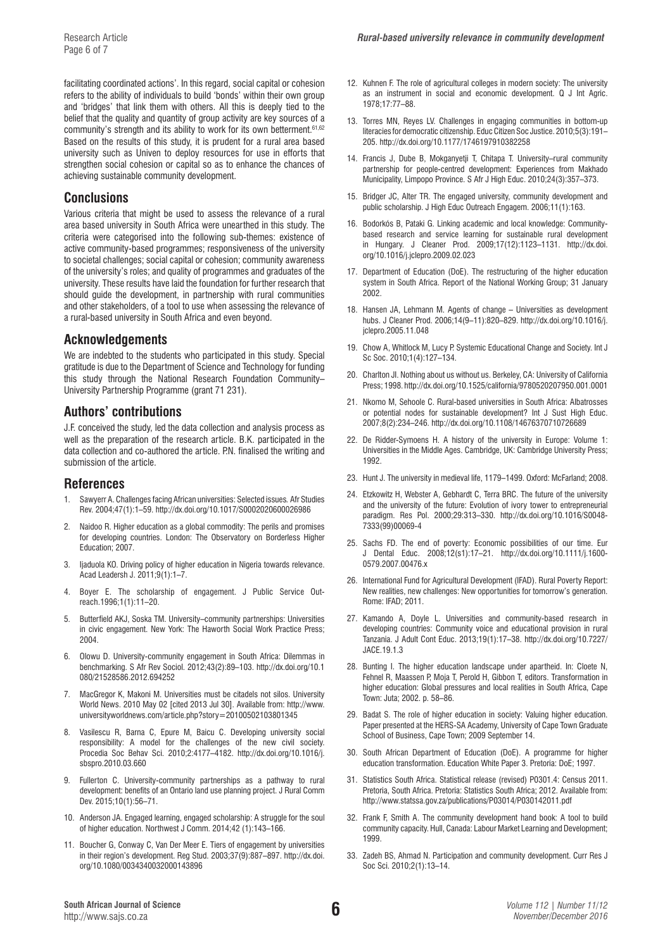facilitating coordinated actions'. In this regard, social capital or cohesion refers to the ability of individuals to build 'bonds' within their own group and 'bridges' that link them with others. All this is deeply tied to the belief that the quality and quantity of group activity are key sources of a community's strength and its ability to work for its own betterment.<sup>61,62</sup> Based on the results of this study, it is prudent for a rural area based university such as Univen to deploy resources for use in efforts that strengthen social cohesion or capital so as to enhance the chances of achieving sustainable community development.

#### **Conclusions**

Various criteria that might be used to assess the relevance of a rural area based university in South Africa were unearthed in this study. The criteria were categorised into the following sub-themes: existence of active community-based programmes; responsiveness of the university to societal challenges; social capital or cohesion; community awareness of the university's roles; and quality of programmes and graduates of the university. These results have laid the foundation for further research that should guide the development, in partnership with rural communities and other stakeholders, of a tool to use when assessing the relevance of a rural-based university in South Africa and even beyond.

### **Acknowledgements**

We are indebted to the students who participated in this study. Special gratitude is due to the Department of Science and Technology for funding this study through the National Research Foundation Community– University Partnership Programme (grant 71 231).

### **Authors' contributions**

J.F. conceived the study, led the data collection and analysis process as well as the preparation of the research article. B.K. participated in the data collection and co-authored the article. P.N. finalised the writing and submission of the article.

### **References**

- 1. Sawyerr A. Challenges facing African universities: Selected issues*.* Afr Studies Rev. 2004;47(1):1–59.<http://dx.doi.org/10.1017/S0002020600026986>
- 2. Naidoo R. Higher education as a global commodity: The perils and promises for developing countries. London: The Observatory on Borderless Higher Education; 2007.
- 3. Ijaduola KO. Driving policy of higher education in Nigeria towards relevance. Acad Leadersh J. 2011;9(1):1–7.
- 4. Boyer E. The scholarship of engagement. J Public Service Outreach.1996;1(1):11–20.
- 5. Butterfield AKJ, Soska TM. University–community partnerships: Universities in civic engagement. New York: The Haworth Social Work Practice Press; 2004.
- 6. Olowu D. University-community engagement in South Africa: Dilemmas in benchmarking. S Afr Rev Sociol. 2012;43(2):89–103. [http://dx.doi.org/10.1](http://dx.doi.org/10.1080/21528586.2012.694252) [080/21528586.2012.694252](http://dx.doi.org/10.1080/21528586.2012.694252)
- 7. MacGregor K, Makoni M. Universities must be citadels not silos. University World News. 2010 May 02 [cited 2013 Jul 30]. Available from: [http://www.](http://www.universityworldnews.com/article.php?story=20100502103801345) [universityworldnews.com/article.php?story=20100502103801345](http://www.universityworldnews.com/article.php?story=20100502103801345)
- 8. Vasilescu R, Barna C, Epure M, Baicu C. Developing university social responsibility: A model for the challenges of the new civil society. Procedia Soc Behav Sci. 2010;2:4177–4182. [http://dx.doi.org/10.1016/j.](http://dx.doi.org/10.1016/j.sbspro.2010.03.660) [sbspro.2010.03.660](http://dx.doi.org/10.1016/j.sbspro.2010.03.660)
- 9. Fullerton C. University-community partnerships as a pathway to rural development: benefits of an Ontario land use planning project. J Rural Comm Dev. 2015;10(1):56–71.
- 10. Anderson JA. Engaged learning, engaged scholarship: A struggle for the soul of higher education. Northwest J Comm. 2014;42 (1):143–166.
- 11. Boucher G, Conway C, Van Der Meer E. Tiers of engagement by universities in their region's development. Reg Stud. 2003;37(9):887–897. [http://dx.doi.](http://dx.doi.org/10.1080/0034340032000143896) [org/10.1080/0034340032000143896](http://dx.doi.org/10.1080/0034340032000143896)
- 12. Kuhnen F. The role of agricultural colleges in modern society: The university as an instrument in social and economic development. Q J Int Agric. 1978;17:77–88.
- 13. Torres MN, Reyes LV. Challenges in engaging communities in bottom-up literacies for democratic citizenship. Educ Citizen Soc Justice. 2010;5(3):191– 205. <http://dx.doi.org/10.1177/1746197910382258>
- 14. Francis J, Dube B, Mokganyetji T, Chitapa T. University–rural community partnership for people-centred development: Experiences from Makhado Municipality, Limpopo Province. S Afr J High Educ. 2010;24(3):357–373.
- 15. Bridger JC, Alter TR. The engaged university, community development and public scholarship. J High Educ Outreach Engagem. 2006;11(1):163.
- 16. Bodorkós B, Pataki G. Linking academic and local knowledge: Communitybased research and service learning for sustainable rural development in Hungary. J Cleaner Prod. 2009;17(12):1123–1131. [http://dx.doi.](http://dx.doi.org/10.1016/j.jclepro.2009.02.023) [org/10.1016/j.jclepro.2009.02.023](http://dx.doi.org/10.1016/j.jclepro.2009.02.023)
- 17. Department of Education (DoE). The restructuring of the higher education system in South Africa. Report of the National Working Group; 31 January 2002.
- 18. Hansen JA, Lehmann M. Agents of change Universities as development hubs. J Cleaner Prod. 2006;14(9–11):820–829. [http://dx.doi.org/10.1016/j.](http://dx.doi.org/10.1016/j.jclepro.2005.11.048) [jclepro.2005.11.048](http://dx.doi.org/10.1016/j.jclepro.2005.11.048)
- 19. Chow A, Whitlock M, Lucy P. Systemic Educational Change and Society. Int J Sc Soc. 2010;1(4):127–134.
- 20. Charlton JI. Nothing about us without us. Berkeley, CA: University of California Press; 1998.<http://dx.doi.org/10.1525/california/9780520207950.001.0001>
- 21. Nkomo M, Sehoole C. Rural-based universities in South Africa: Albatrosses or potential nodes for sustainable development? Int J Sust High Educ. 2007;8(2):234–246.<http://dx.doi.org/10.1108/14676370710726689>
- 22. De Ridder-Symoens H. A history of the university in Europe: Volume 1: Universities in the Middle Ages. Cambridge, UK: Cambridge University Press; 1992.
- 23. Hunt J. The university in medieval life, 1179–1499. Oxford: McFarland; 2008.
- 24. Etzkowitz H, Webster A, Gebhardt C, Terra BRC. The future of the university and the university of the future: Evolution of ivory tower to entrepreneurial paradigm. Res Pol. 2000;29:313–330. [http://dx.doi.org/10.1016/S0048-](http://dx.doi.org/10.1016/S0048-7333(99)00069-4) [7333\(99\)00069-4](http://dx.doi.org/10.1016/S0048-7333(99)00069-4)
- 25. Sachs FD. The end of poverty: Economic possibilities of our time. Eur J Dental Educ. 2008;12(s1):17–21. [http://dx.doi.org/10.1111/j.1600-](http://dx.doi.org/10.1111/j.1600-0579.2007.00476.x) [0579.2007.00476.x](http://dx.doi.org/10.1111/j.1600-0579.2007.00476.x)
- 26. International Fund for Agricultural Development (IFAD). Rural Poverty Report: New realities, new challenges: New opportunities for tomorrow's generation. Rome: IFAD; 2011.
- 27. Kamando A, Doyle L. Universities and community-based research in developing countries: Community voice and educational provision in rural Tanzania. J Adult Cont Educ. 2013;19(1):17–38. [http://dx.doi.org/10.7227/](http://dx.doi.org/10.7227/JACE.19.1.3) [JACE.19.1.3](http://dx.doi.org/10.7227/JACE.19.1.3)
- 28. Bunting I. The higher education landscape under apartheid. In: Cloete N, Fehnel R, Maassen P, Moja T, Perold H, Gibbon T, editors. Transformation in higher education: Global pressures and local realities in South Africa, Cape Town: Juta; 2002. p. 58–86.
- 29. Badat S. The role of higher education in society: Valuing higher education. Paper presented at the HERS-SA Academy, University of Cape Town Graduate School of Business, Cape Town; 2009 September 14.
- 30. South African Department of Education (DoE). A programme for higher education transformation. Education White Paper 3. Pretoria: DoE; 1997.
- 31. Statistics South Africa. Statistical release (revised) P0301.4: Census 2011. Pretoria, South Africa. Pretoria: Statistics South Africa; 2012. Available from: <http://www.statssa.gov.za/publications/P03014/P030142011.pdf>
- 32. Frank F, Smith A. The community development hand book: A tool to build community capacity. Hull, Canada: Labour Market Learning and Development; 1999.
- 33. Zadeh BS, Ahmad N. Participation and community development. Curr Res J Soc Sci. 2010;2(1):13–14.